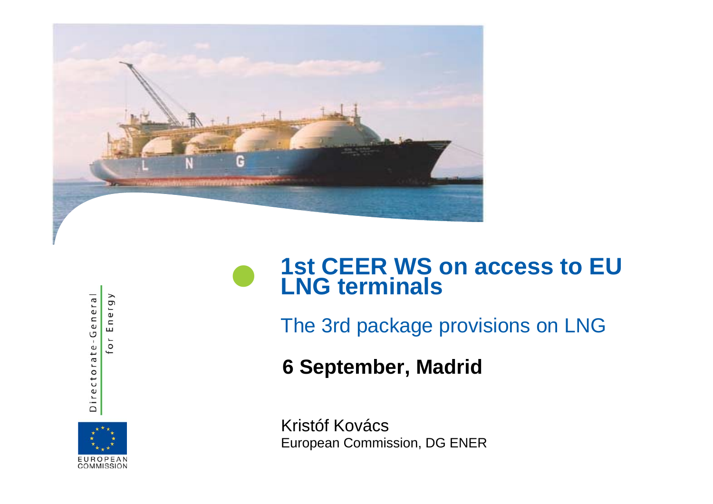

#### **1st CEER WS on access to EU**   $\bullet$ **LNG terminals**

The 3rd package provisions on LNG

**6 September Madrid ,** 

COMMISSION

Directorate-General

or Energy

Kristóf Kovács European Commission, DG ENER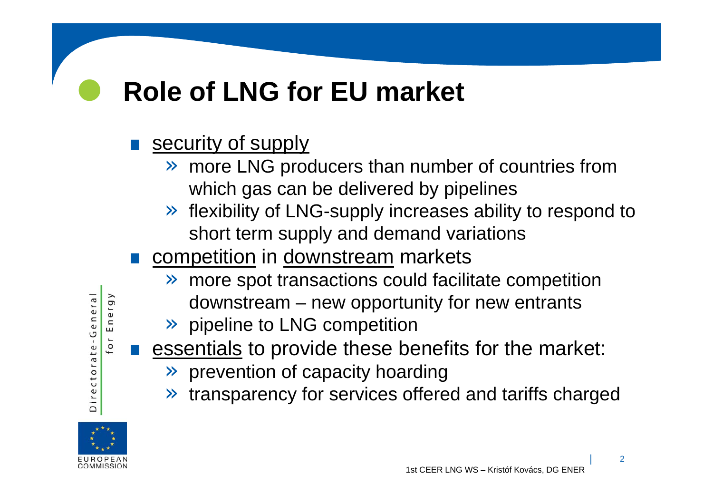# **Role of LNG for EU market**

- $\bullet$  security of supply
	- » more LNG producers than number of countries from which gas can be delivered by pipelines
	- » flexibility of LNG-supply increases ability to respond to short term supply and demand variations
- competition in downstream markets
	- » more spot transactions could facilitate competition
		- downstream new opportunity for new entrants
	- » pipeline to LNG competition
- **.** essentials to provide these benefits for the market:
	- $\gg$  prevention of capacity hoarding
	- »transparency for services offered and tariffs charged



Directorate-General

Energy

 $\overline{0}$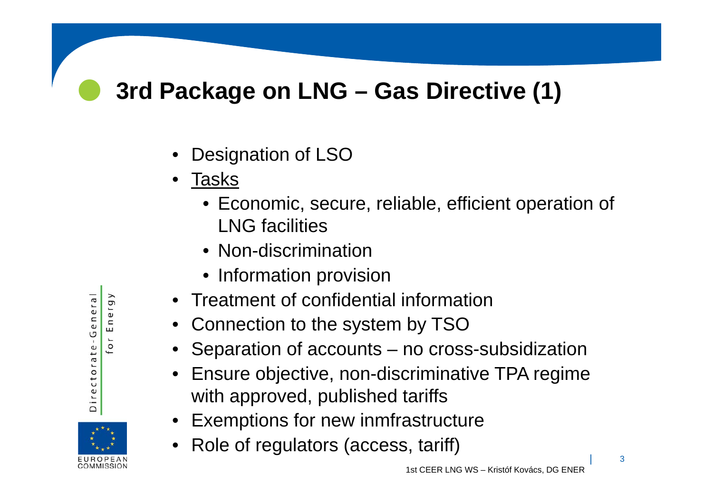## **3rd Package on LNG – Gas Directive (1)**

- •Designation of LSO
- • Tasks
	- Economic, secure, reliable, efficient operation of LNG facilities
	- Non-discrimination
	- Information provision
- Treatment of confidential information
- •Connection to the system by TSO
- Separation of accounts no cross-subsidization
- Ensure objective, non-discriminative TPA regime with approved, published tariffs
- Exemptions for new inmfrastructure
- •Role of regulators (access, tariff)

| <sup>3</sup>



Energy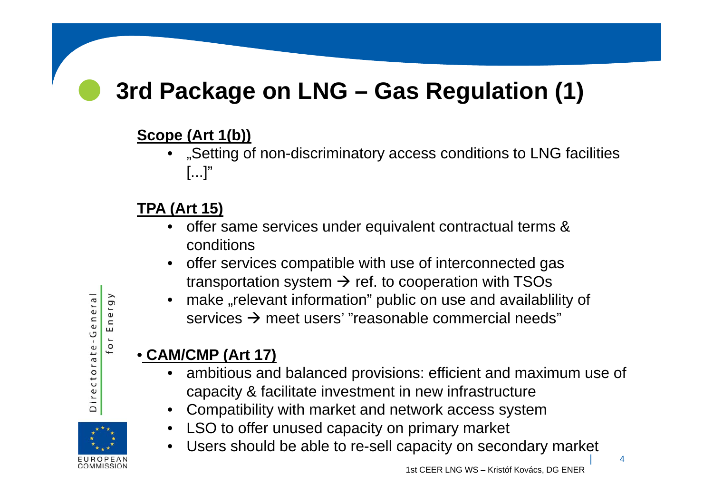## **3rd Package on LNG – Gas Regulation (1)**

## **Scope (Art 1(b))**

• "Setting of non-discriminatory access conditions to LNG facilities  $[...]$ "

## **TPA (Art 15)**

- offer same services under equivalent contractual terms & conditions
- $\bullet$  offer services compatible with use of interconnected gas transportation system  $\rightarrow$  ref. to cooperation with TSOs
- •make "relevant information" public on use and availablility of services  $\bm{\rightarrow}$  meet users' "reasonable commercial needs"

## • **CAM/CMP (Art 17)**

- ambitious and balanced provisions: efficient and maximum use of capacity & facilitate investment in new infrastructure
- •Compatibility with market and network access system
- LSO to offer unused capacity on primary market<br>● Lisers should be able to re-sell capacity on seco  $\bullet$
- Users should be able to re-sell capacity on secondary market

 $\bullet$ 



| <sup>4</sup>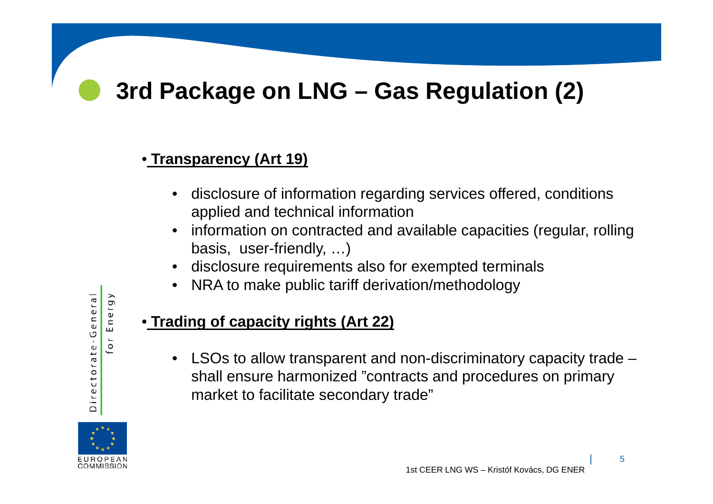## **3rd Package on LNG – Gas Regulation (2)**

#### • **Transparency (Art 19)**

- •disclosure of information regarding services offered, conditions applied and technical information
- • information on contracted and available capacities (regular, rolling basis, user-friendly, …)
- •disclosure requirements also for exempted terminals
- •NRA to make public tariff derivation/methodology

#### • **Trading of capacity rights (Art 22)**

•LSOs to allow transparent and non-discriminatory capacity trade  $$ shall ensure harmonized "contracts and procedures on primary market to facilitate secondary trade"



Directorate-General

Energy

 $\overline{0}$ 

 $\bullet$ 

| <sup>5</sup>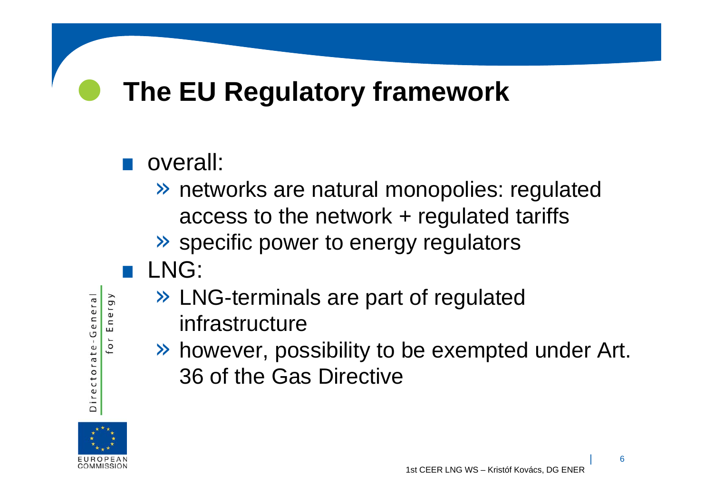# **The EU Regulatory framework**

## **.** overall:

- » networks are natural monopolies: regulated access to the network + regulated tariffs
- » specific power to energy regulators
- .LNG:
	- » LNG-terminals are part of regulated
		- infrastructure
	- » however, possibility to be exempted under Art. 36 of the Gas Directive



Directorate-General

or Energy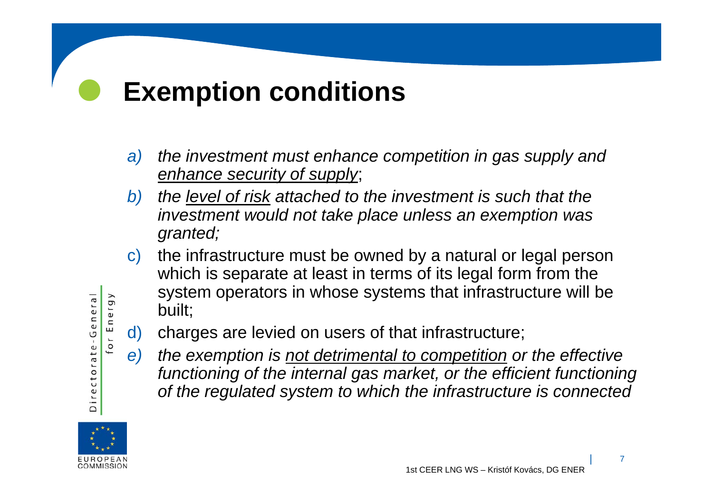#### $\bullet$ **Exemption conditions**

- *a) the investment must enhance competition in gas supply and enhance security of supply*;
- *b) the level of risk attached to the investment is such that the investment would not take place unless an exemption was granted;*
- c) the infrastructure must be owned by a natural or legal person which is separate at least in terms of its legal form from the system operators in whose systems that infrastructure will be built;
- d) charges are levied on users of that infrastructure;
- *e) the exemption is not detrimental to competition or the effective functioning of the internal gas market, or the efficient functioning of the regulated system to which the infrastructure is connected*



Directorate-General

or Energy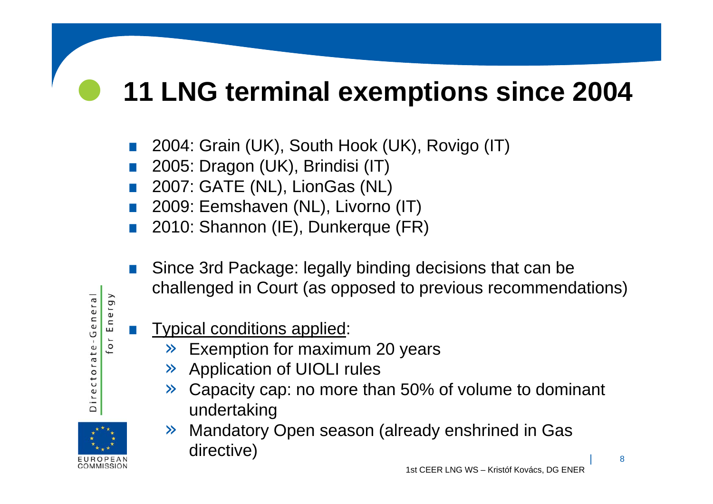#### $\bullet$ **11 LNG terminal exemptions since 2004**

- .2004: Grain (UK), South Hook (UK), Rovigo (IT)
- .2005: Dragon (UK), Brindisi (IT)
- .2007: GATE (NL), LionGas (NL)
- .2009: Eemshaven (NL), Livorno (IT)
- .2010: Shannon (IE), Dunkerque (FR)
- . Since 3rd Package: legally binding decisions that can be challenged in Court (as opposed to previous recommendations)
- .Typical conditions applied:

Directorate-General

or Energy

- » Exemption for maximum 20 years
- » Application of UIOLI rules
- » Capacity cap: no more than 50% of volume to dominant undertaking
- » Mandatory Open season (already enshrined in Gas directive)

1st CEER LNG WS – Kristóf Kovács, DG ENER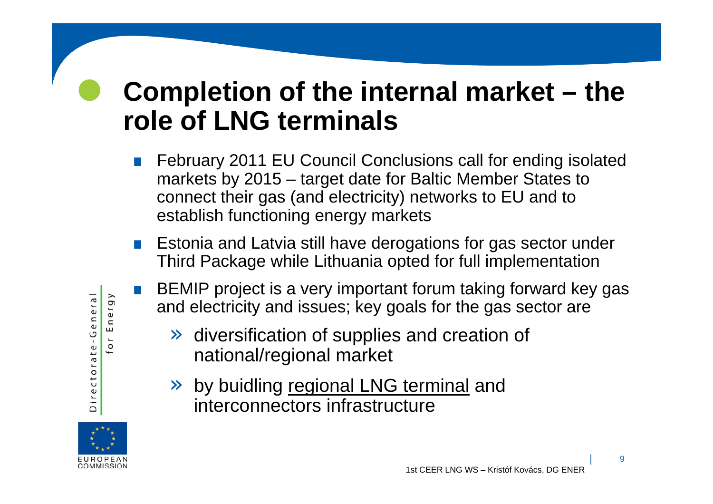# **Completion of the internal market – the role of LNG terminals**

- $\bullet$  February 2011 EU Council Conclusions call for ending isolated markets by 2015 – target date for Baltic Member States to connect their gas (and electricity) networks to EU and to establish functioning energy markets
- $\bullet$ Estonia and Latvia still have derogations for gas sector under Third Package while Lithuania opted for full implementation
- $\bullet$  BEMIP project is a very important forum taking forward key gas and electricity and issues; key goals for the gas sector are
	- » diversification of supplies and creation of national/regional market
	- » by buidling regional LNG terminal and interconnectors infrastructure



Energy

 $\overline{0}$ 

Directorate-General